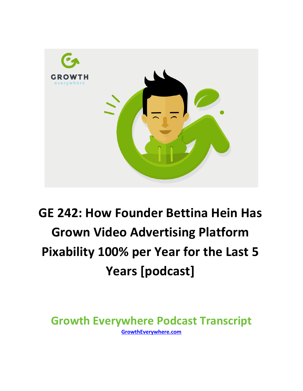

## **GE 242: How Founder Bettina Hein Has Grown Video Advertising Platform Pixability 100% per Year for the Last 5 Years [podcast]**

**Growth Everywhere Podcast Transcript GrowthEverywhere.com**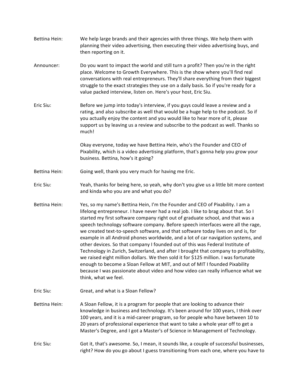| Bettina Hein: | We help large brands and their agencies with three things. We help them with<br>planning their video advertising, then executing their video advertising buys, and<br>then reporting on it.                                                                                                                                                                                                                                                                                                                                                                                                                                                                                                                                                                                                                                                                                                                                                                                   |
|---------------|-------------------------------------------------------------------------------------------------------------------------------------------------------------------------------------------------------------------------------------------------------------------------------------------------------------------------------------------------------------------------------------------------------------------------------------------------------------------------------------------------------------------------------------------------------------------------------------------------------------------------------------------------------------------------------------------------------------------------------------------------------------------------------------------------------------------------------------------------------------------------------------------------------------------------------------------------------------------------------|
| Announcer:    | Do you want to impact the world and still turn a profit? Then you're in the right<br>place. Welcome to Growth Everywhere. This is the show where you'll find real<br>conversations with real entrepreneurs. They'll share everything from their biggest<br>struggle to the exact strategies they use on a daily basis. So if you're ready for a<br>value packed interview, listen on. Here's your host, Eric Siu.                                                                                                                                                                                                                                                                                                                                                                                                                                                                                                                                                             |
| Eric Siu:     | Before we jump into today's interview, if you guys could leave a review and a<br>rating, and also subscribe as well that would be a huge help to the podcast. So if<br>you actually enjoy the content and you would like to hear more of it, please<br>support us by leaving us a review and subscribe to the podcast as well. Thanks so<br>much!                                                                                                                                                                                                                                                                                                                                                                                                                                                                                                                                                                                                                             |
|               | Okay everyone, today we have Bettina Hein, who's the Founder and CEO of<br>Pixability, which is a video advertising platform, that's gonna help you grow your<br>business. Bettina, how's it going?                                                                                                                                                                                                                                                                                                                                                                                                                                                                                                                                                                                                                                                                                                                                                                           |
| Bettina Hein: | Going well, thank you very much for having me Eric.                                                                                                                                                                                                                                                                                                                                                                                                                                                                                                                                                                                                                                                                                                                                                                                                                                                                                                                           |
| Eric Siu:     | Yeah, thanks for being here, so yeah, why don't you give us a little bit more context<br>and kinda who you are and what you do?                                                                                                                                                                                                                                                                                                                                                                                                                                                                                                                                                                                                                                                                                                                                                                                                                                               |
| Bettina Hein: | Yes, so my name's Bettina Hein, I'm the Founder and CEO of Pixability. I am a<br>lifelong entrepreneur. I have never had a real job. I like to brag about that. So I<br>started my first software company right out of graduate school, and that was a<br>speech technology software company. Before speech interfaces were all the rage,<br>we created text-to-speech software, and that software today lives on and is, for<br>example in all Android phones worldwide, and a lot of car navigation systems, and<br>other devices. So that company I founded out of this was Federal Institute of<br>Technology in Zurich, Switzerland, and after I brought that company to profitability,<br>we raised eight million dollars. We then sold it for \$125 million. I was fortunate<br>enough to become a Sloan Fellow at MIT, and out of MIT I founded Pixability<br>because I was passionate about video and how video can really influence what we<br>think, what we feel. |
| Eric Siu:     | Great, and what is a Sloan Fellow?                                                                                                                                                                                                                                                                                                                                                                                                                                                                                                                                                                                                                                                                                                                                                                                                                                                                                                                                            |
| Bettina Hein: | A Sloan Fellow, it is a program for people that are looking to advance their<br>knowledge in business and technology. It's been around for 100 years, I think over<br>100 years, and it is a mid-career program, so for people who have between 10 to<br>20 years of professional experience that want to take a whole year off to get a<br>Master's Degree, and I got a Master's of Science in Management of Technology.                                                                                                                                                                                                                                                                                                                                                                                                                                                                                                                                                     |
| Eric Siu:     | Got it, that's awesome. So, I mean, it sounds like, a couple of successful businesses,<br>right? How do you go about I guess transitioning from each one, where you have to                                                                                                                                                                                                                                                                                                                                                                                                                                                                                                                                                                                                                                                                                                                                                                                                   |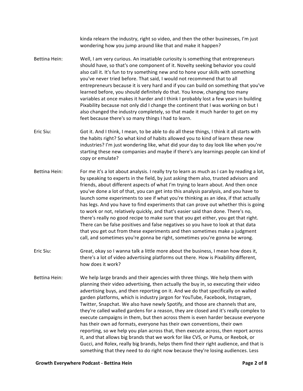kinda relearn the industry, right so video, and then the other businesses, I'm just wondering how you jump around like that and make it happen?

- Bettina Hein: Well, I am very curious. An insatiable curiosity is something that entrepreneurs should have, so that's one component of it. Novelty seeking behavior you could also call it. It's fun to try something new and to hone your skills with something you've never tried before. That said, I would not recommend that to all entrepreneurs because it is very hard and if you can build on something that you've learned before, you should definitely do that. You know, changing too many variables at once makes it harder and I think I probably lost a few years in building Pixability because not only did I change the continent that I was working on but I also changed the industry completely, so that made it much harder to get on my feet because there's so many things I had to learn.
- Eric Siu: Got it. And I think, I mean, to be able to do all these things, I think it all starts with the habits right? So what kind of habits allowed you to kind of learn these new industries? I'm just wondering like, what did your day to day look like when you're starting these new companies and maybe if there's any learnings people can kind of copy or emulate?
- Bettina Hein: For me it's a lot about analysis. I really try to learn as much as I can by reading a lot, by speaking to experts in the field, by just asking them also, trusted advisors and friends, about different aspects of what I'm trying to learn about. And then once you've done a lot of that, you can get into this analysis paralysis, and you have to launch some experiments to see if what you're thinking as an idea, if that actually has legs. And you have to find experiments that can prove out whether this is going to work or not, relatively quickly, and that's easier said than done. There's no, there's really no good recipe to make sure that you get either, you get that right. There can be false positives and false negatives so you have to look at that data that you get out from these experiments and then sometimes make a judgment call, and sometimes you're gonna be right, sometimes you're gonna be wrong.
- Eric Siu: Great, okay so I wanna talk a little more about the business, I mean how does it, there's a lot of video advertising platforms out there. How is Pixability different, how does it work?
- Bettina Hein: We help large brands and their agencies with three things. We help them with planning their video advertising, then actually the buy in, so executing their video advertising buys, and then reporting on it. And we do that specifically on walled garden platforms, which is industry jargon for YouTube, Facebook, Instagram, Twitter, Snapchat. We also have newly Spotify, and those are channels that are, they're called walled gardens for a reason, they are closed and it's really complex to execute campaigns in them, but then across them is even harder because everyone has their own ad formats, everyone has their own conventions, their own reporting, so we help you plan across that, then execute across, then report across it, and that allows big brands that we work for like CVS, or Puma, or Reebok, or Gucci, and Rolex, really big brands, helps them find their right audience, and that is something that they need to do right now because they're losing audiences. Less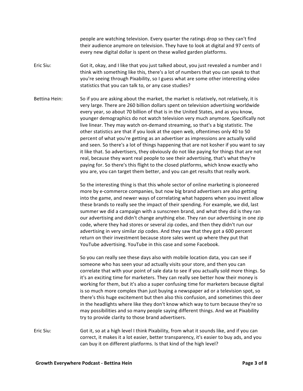people are watching television. Every quarter the ratings drop so they can't find their audience anymore on television. They have to look at digital and 97 cents of every new digital dollar is spent on these walled garden platforms.

Eric Siu: Got it, okay, and I like that you just talked about, you just revealed a number and I think with something like this, there's a lot of numbers that you can speak to that you're seeing through Pixability, so I guess what are some other interesting video statistics that you can talk to, or any case studies?

Bettina Hein: So if you are asking about the market, the market is relatively, not relatively, it is very large. There are 260 billion dollars spent on television advertising worldwide every year, so about 70 billion of that is in the United States, and as you know, younger demographics do not watch television very much anymore. Specifically not live linear. They may watch on-demand streaming, so that's a big statistic. The other statistics are that if you look at the open web, oftentimes only 40 to 50 percent of what you're getting as an advertiser as impressions are actually valid and seen. So there's a lot of things happening that are not kosher if you want to say it like that. So advertisers, they obviously do not like paying for things that are not real, because they want real people to see their advertising, that's what they're paying for. So there's this flight to the closed platforms, which know exactly who you are, you can target them better, and you can get results that really work.

> So the interesting thing is that this whole sector of online marketing is pioneered more by e-commerce companies, but now big brand advertisers are also getting into the game, and newer ways of correlating what happens when you invest allow these brands to really see the impact of their spending. For example, we did, last summer we did a campaign with a sunscreen brand, and what they did is they ran our advertising and didn't change anything else. They ran our advertising in one zip code, where they had stores or several zip codes, and then they didn't run our advertising in very similar zip codes. And they saw that they got a 600 percent return on their investment because store sales went up where they put that YouTube advertising. YouTube in this case and some Facebook.

> So you can really see these days also with mobile location data, you can see if someone who has seen your ad actually visits your store, and then you can correlate that with your point of sale data to see if you actually sold more things. So it's an exciting time for marketers. They can really see better how their money is working for them, but it's also a super confusing time for marketers because digital is so much more complex than just buying a newspaper ad or a television spot, so there's this huge excitement but then also this confusion, and sometimes this deer in the headlights where like they don't know which way to turn because they're so may possibilities and so many people saying different things. And we at Pixability try to provide clarity to those brand advertisers.

Eric Siu: Got it, so at a high level I think Pixability, from what it sounds like, and if you can correct, it makes it a lot easier, better transparency, it's easier to buy ads, and you can buy it on different platforms. Is that kind of the high level?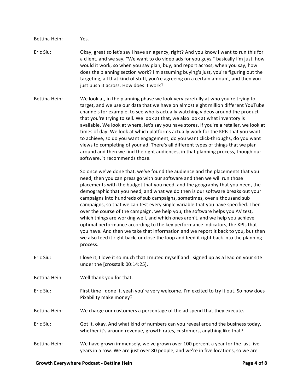Bettina Hein: Yes. Eric Siu: Okay, great so let's say I have an agency, right? And you know I want to run this for a client, and we say, "We want to do video ads for you guys," basically I'm just, how would it work, so when you say plan, buy, and report across, when you say, how does the planning section work? I'm assuming buying's just, you're figuring out the targeting, all that kind of stuff, you're agreeing on a certain amount, and then you just push it across. How does it work? Bettina Hein: We look at, in the planning phase we look very carefully at who you're trying to target, and we use our data that we have on almost eight million different YouTube channels for example, to see who is actually watching videos around the product that you're trying to sell. We look at that, we also look at what inventory is available. We look at where, let's say you have stores, if you're a retailer, we look at times of day. We look at which platforms actually work for the KPIs that you want to achieve, so do you want engagement, do you want click-throughs, do you want views to completing of your ad. There's all different types of things that we plan around and then we find the right audiences, in that planning process, though our software, it recommends those. So once we've done that, we've found the audience and the placements that you need, then you can press go with our software and then we will run those placements with the budget that you need, and the geography that you need, the demographic that you need, and what we do then is our software breaks out your campaigns into hundreds of sub campaigns, sometimes, over a thousand sub campaigns, so that we can test every single variable that you have specified. Then over the course of the campaign, we help you, the software helps you AV test, which things are working well, and which ones aren't, and we help you achieve optimal performance according to the key performance indicators, the KPIs that you have. And then we take that information and we report it back to you, but then we also feed it right back, or close the loop and feed it right back into the planning process. Eric Siu: I love it, I love it so much that I muted myself and I signed up as a lead on your site under the [crosstalk 00:14:25]. Bettina Hein: Well thank you for that. Eric Siu: First time I done it, yeah you're very welcome. I'm excited to try it out. So how does Pixability make money? Bettina Hein: We charge our customers a percentage of the ad spend that they execute. Eric Siu: Got it, okay. And what kind of numbers can you reveal around the business today, whether it's around revenue, growth rates, customers, anything like that? Bettina Hein: We have grown immensely, we've grown over 100 percent a year for the last five years in a row. We are just over 80 people, and we're in five locations, so we are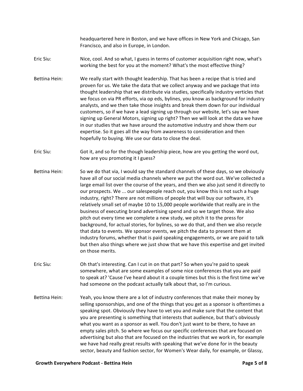headquartered here in Boston, and we have offices in New York and Chicago, San Francisco, and also in Europe, in London.

Eric Siu: Nice, cool. And so what, I guess in terms of customer acquisition right now, what's working the best for you at the moment? What's the most effective thing?

- Bettina Hein: We really start with thought leadership. That has been a recipe that is tried and proven for us. We take the data that we collect anyway and we package that into thought leadership that we distribute via studies, specifically industry verticles that we focus on via PR efforts, via op eds, bylines, you know as background for industry analysts, and we then take those insights and break them down for our individual customers, so if we have a lead signing up through our website, let's say we have signing up General Motors, signing up right? Then we will look at the data we have in our studies that we have around the automotive industry and show them our expertise. So it goes all the way from awareness to consideration and then hopefully to buying. We use our data to close the deal.
- Eric Siu: Got it, and so for the though leadership piece, how are you getting the word out, how are you promoting it I guess?
- Bettina Hein: So we do that via, I would say the standard channels of these days, so we obviously have all of our social media channels where we put the word out. We've collected a large email list over the course of the years, and then we also just send it directly to our prospects. We ... our salespeople reach out, you know this is not such a huge industry, right? There are not millions of people that will buy our software, it's relatively small set of maybe 10 to 15,000 people worldwide that really are in the business of executing brand advertising spend and so we target those. We also pitch out every time we complete a new study, we pitch it to the press for background, for actual stories, for bylines, so we do that, and then we also recycle that data to events. We sponsor events, we pitch the data to present them at industry forums, whether that is paid speaking engagements, or we are paid to talk but then also things where we just show that we have this expertise and get invited on those merits.
- Eric Siu: Oh that's interesting. Can I cut in on that part? So when you're paid to speak somewhere, what are some examples of some nice conferences that you are paid to speak at? 'Cause I've heard about it a couple times but this is the first time we've had someone on the podcast actually talk about that, so I'm curious.
- Bettina Hein: Yeah, you know there are a lot of industry conferences that make their money by selling sponsorships, and one of the things that you get as a sponsor is oftentimes a speaking spot. Obviously they have to vet you and make sure that the content that you are presenting is something that interests that audience, but that's obviously what you want as a sponsor as well. You don't just want to be there, to have an empty sales pitch. So where we focus our specific conferences that are focused on advertising but also that are focused on the industries that we work in, for example we have had really great results with speaking that we've done for in the beauty sector, beauty and fashion sector, for Women's Wear daily, for example, or Glassy,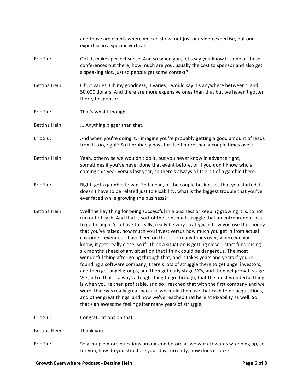|                      | and those are events where we can show, not just our video expertise, but our<br>expertise in a specific vertical.                                                                                                                                                                                                                                                                                                                                                                                                                                                                                                                                                                                                                                                                                                                                                                                                                                                                                                                                                                                                                                                                                                                                                                                          |
|----------------------|-------------------------------------------------------------------------------------------------------------------------------------------------------------------------------------------------------------------------------------------------------------------------------------------------------------------------------------------------------------------------------------------------------------------------------------------------------------------------------------------------------------------------------------------------------------------------------------------------------------------------------------------------------------------------------------------------------------------------------------------------------------------------------------------------------------------------------------------------------------------------------------------------------------------------------------------------------------------------------------------------------------------------------------------------------------------------------------------------------------------------------------------------------------------------------------------------------------------------------------------------------------------------------------------------------------|
| Eric Siu:            | Got it, makes perfect sense. And so when you, let's say you know it's one of these<br>conferences out there, how much are you, usually the cost to sponsor and also get<br>a speaking slot, just so people get some context?                                                                                                                                                                                                                                                                                                                                                                                                                                                                                                                                                                                                                                                                                                                                                                                                                                                                                                                                                                                                                                                                                |
| Bettina Hein:        | Oh, it varies. Oh my goodness, it varies, I would say it's anywhere between 5 and<br>50,000 dollars. And there are more expensive ones than that but we haven't gotten<br>there, to sponsor-                                                                                                                                                                                                                                                                                                                                                                                                                                                                                                                                                                                                                                                                                                                                                                                                                                                                                                                                                                                                                                                                                                                |
| Eric Siu:            | That's what I thought.                                                                                                                                                                                                                                                                                                                                                                                                                                                                                                                                                                                                                                                                                                                                                                                                                                                                                                                                                                                                                                                                                                                                                                                                                                                                                      |
| Bettina Hein:        | Anything bigger than that.                                                                                                                                                                                                                                                                                                                                                                                                                                                                                                                                                                                                                                                                                                                                                                                                                                                                                                                                                                                                                                                                                                                                                                                                                                                                                  |
| Eric Siu:            | And when you're doing it, I imagine you're probably getting a good amount of leads<br>from it too, right? So it probably pays for itself more than a couple times over?                                                                                                                                                                                                                                                                                                                                                                                                                                                                                                                                                                                                                                                                                                                                                                                                                                                                                                                                                                                                                                                                                                                                     |
| <b>Bettina Hein:</b> | Yeah, otherwise we wouldn't do it, but you never know in advance right,<br>sometimes if you've never done that event before, or if you don't know who's<br>coming this year versus last year, so there's always a little bit of a gamble there.                                                                                                                                                                                                                                                                                                                                                                                                                                                                                                                                                                                                                                                                                                                                                                                                                                                                                                                                                                                                                                                             |
| Eric Siu:            | Right, gotta gamble to win. So I mean, of the couple businesses that you started, it<br>doesn't have to be related just to Pixability, what is the biggest trouble that you've<br>ever faced while growing the business?                                                                                                                                                                                                                                                                                                                                                                                                                                                                                                                                                                                                                                                                                                                                                                                                                                                                                                                                                                                                                                                                                    |
| Bettina Hein:        | Well the key thing for being successful in a business or keeping growing it is, to not<br>run out of cash. And that is sort of the continual struggle that an entrepreneur has<br>to go through. You have to really, really be very strategic in how you use the money<br>that you've raised, how much you invest versus how much you get in from actual<br>customer revenues. I have been on the brink many times over, where we you<br>know, it gets really close, so if I think a situation is getting close, I start fundraising<br>six months ahead of any situation that I think could be dangerous. The most<br>wonderful thing after going through that, and it takes years and years if you're<br>founding a software company, there's lots of struggle there to get angel investors,<br>and then get angel groups, and then get early stage VCs, and then get growth stage<br>VCs, all of that is always a tough thing to go through, that the most wonderful thing<br>is when you're then profitable, and so I reached that with the first company and we<br>were, that was really great because we could then use that cash to do acquisitions,<br>and other great things, and now we've reached that here at Pixability as well. So<br>that's an awesome feeling after many years of struggle. |
| Eric Siu:            | Congratulations on that.                                                                                                                                                                                                                                                                                                                                                                                                                                                                                                                                                                                                                                                                                                                                                                                                                                                                                                                                                                                                                                                                                                                                                                                                                                                                                    |
| Bettina Hein:        | Thank you.                                                                                                                                                                                                                                                                                                                                                                                                                                                                                                                                                                                                                                                                                                                                                                                                                                                                                                                                                                                                                                                                                                                                                                                                                                                                                                  |
| Eric Siu:            | So a couple more questions on our end before as we work towards wrapping up, so<br>for you, how do you structure your day currently, how does it look?                                                                                                                                                                                                                                                                                                                                                                                                                                                                                                                                                                                                                                                                                                                                                                                                                                                                                                                                                                                                                                                                                                                                                      |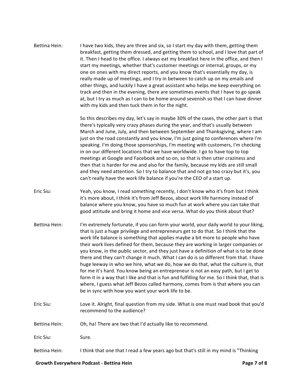Bettina Hein: I have two kids, they are three and six, so I start my day with them, getting them breakfast, getting them dressed, and getting them to school, and I love that part of it. Then I head to the office. I always eat my breakfast here in the office, and then I start my meetings, whether that's customer meetings or internal, groups, or my one on ones with my direct reports, and you know that's essentially my day, is really made up of meetings, and I try in between to catch up on my emails and other things, and luckily I have a great assistant who helps me keep everything on track and then in the evening, there are sometimes events that I have to go speak at, but I try as much as I can to be home around sevenish so that I can have dinner with my kids and then tuck them in for the night.

> So this describes my day, let's say in maybe 30% of the cases, the other part is that there's typically very crazy phases during the year, and that's usually between March and June, July, and then between September and Thanksgiving, where I am just on the road constantly and you know, I'm just going to conferences where I'm speaking. I'm doing those sponsorships, I'm meeting with customers, I'm checking in on our different locations that we have worldwide. I go to have top to top meetings at Google and Facebook and so on, so that is then utter craziness and then that is harder for me and also for the family, because my kids are still small and they need attention. So I try to balance that and not go too crazy but it's, you can't really have the work life balance if you're the CEO of a start up.

Eric Siu: Yeah, you know, I read something recently, I don't know who it's from but I think it's more about, I think it's from Jeff Bezos, about work life harmony instead of balance where you know, you have so much fun at work where you can take that good attitude and bring it home and vice versa. What do you think about that?

- Bettina Hein: I'm extremely fortunate, if you can form your world, your daily world to your liking, that is just a huge privilege and entrepreneurs get to do that. So I think that the work life balance is something that applies maybe a bit more to people who have their work lives defined for them, because they are working in larger companies or you know, in the public sector, and they just have a definition of what is to be done there and they can't change it much. What I can do is so different from that. I have huge leeway in who we hire, what we do, how we do that, what the culture is, that for me it's hard. You know being an entrepreneur is not an easy path, but I get to form it in a way that I like and that is fun and fulfilling for me. So I think that, that is where, I guess what Jeff Bezos called harmony, comes from is that where you can be in sync with how you want your work life to be.
- Eric Siu: Love it. Alright, final question from my side. What is one must read book that you'd recommend to the audience?
- Bettina Hein: Oh, ha! There are two that I'd actually like to recommend.

Eric Siu: Sure.

Bettina Hein: I think that one that I read a few years ago but that's still in my mind is "Thinking